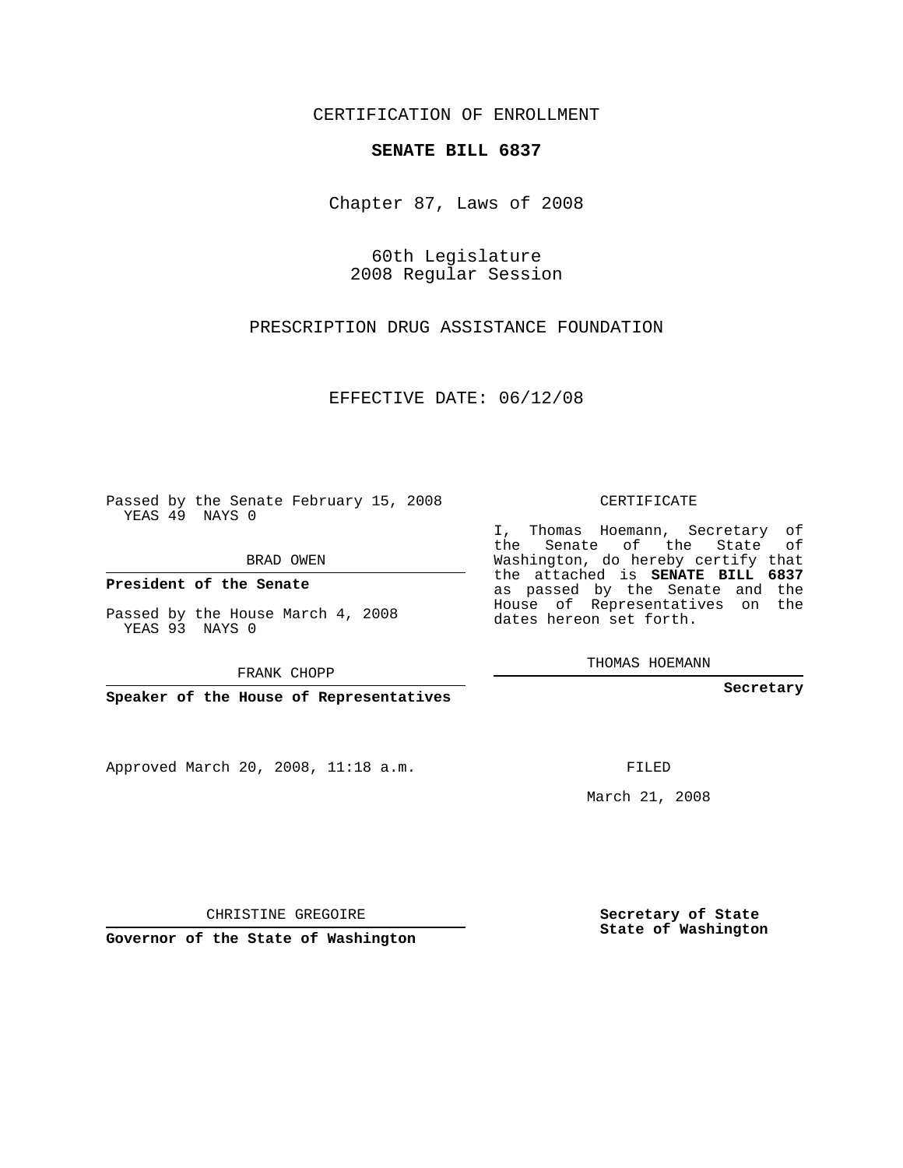CERTIFICATION OF ENROLLMENT

## **SENATE BILL 6837**

Chapter 87, Laws of 2008

60th Legislature 2008 Regular Session

PRESCRIPTION DRUG ASSISTANCE FOUNDATION

EFFECTIVE DATE: 06/12/08

Passed by the Senate February 15, 2008 YEAS 49 NAYS 0

BRAD OWEN

**President of the Senate**

Passed by the House March 4, 2008 YEAS 93 NAYS 0

FRANK CHOPP

**Speaker of the House of Representatives**

Approved March 20, 2008, 11:18 a.m.

CERTIFICATE

I, Thomas Hoemann, Secretary of the Senate of the State of Washington, do hereby certify that the attached is **SENATE BILL 6837** as passed by the Senate and the House of Representatives on the dates hereon set forth.

THOMAS HOEMANN

**Secretary**

FILED

March 21, 2008

**Secretary of State State of Washington**

CHRISTINE GREGOIRE

**Governor of the State of Washington**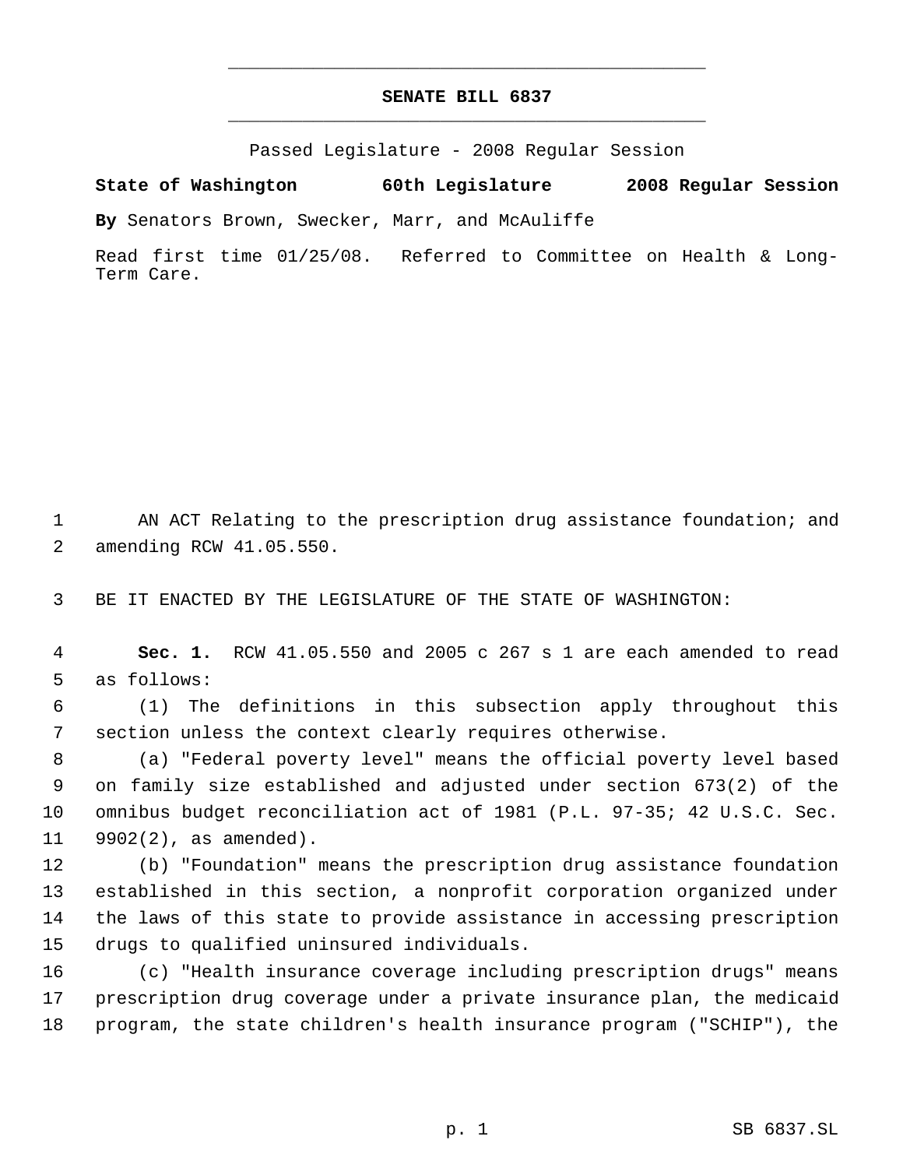## **SENATE BILL 6837** \_\_\_\_\_\_\_\_\_\_\_\_\_\_\_\_\_\_\_\_\_\_\_\_\_\_\_\_\_\_\_\_\_\_\_\_\_\_\_\_\_\_\_\_\_

\_\_\_\_\_\_\_\_\_\_\_\_\_\_\_\_\_\_\_\_\_\_\_\_\_\_\_\_\_\_\_\_\_\_\_\_\_\_\_\_\_\_\_\_\_

Passed Legislature - 2008 Regular Session

**State of Washington 60th Legislature 2008 Regular Session**

**By** Senators Brown, Swecker, Marr, and McAuliffe

Read first time 01/25/08. Referred to Committee on Health & Long-Term Care.

1 AN ACT Relating to the prescription drug assistance foundation; and amending RCW 41.05.550.

BE IT ENACTED BY THE LEGISLATURE OF THE STATE OF WASHINGTON:

 **Sec. 1.** RCW 41.05.550 and 2005 c 267 s 1 are each amended to read as follows:

 (1) The definitions in this subsection apply throughout this section unless the context clearly requires otherwise.

 (a) "Federal poverty level" means the official poverty level based on family size established and adjusted under section 673(2) of the omnibus budget reconciliation act of 1981 (P.L. 97-35; 42 U.S.C. Sec. 9902(2), as amended).

 (b) "Foundation" means the prescription drug assistance foundation established in this section, a nonprofit corporation organized under the laws of this state to provide assistance in accessing prescription drugs to qualified uninsured individuals.

 (c) "Health insurance coverage including prescription drugs" means prescription drug coverage under a private insurance plan, the medicaid program, the state children's health insurance program ("SCHIP"), the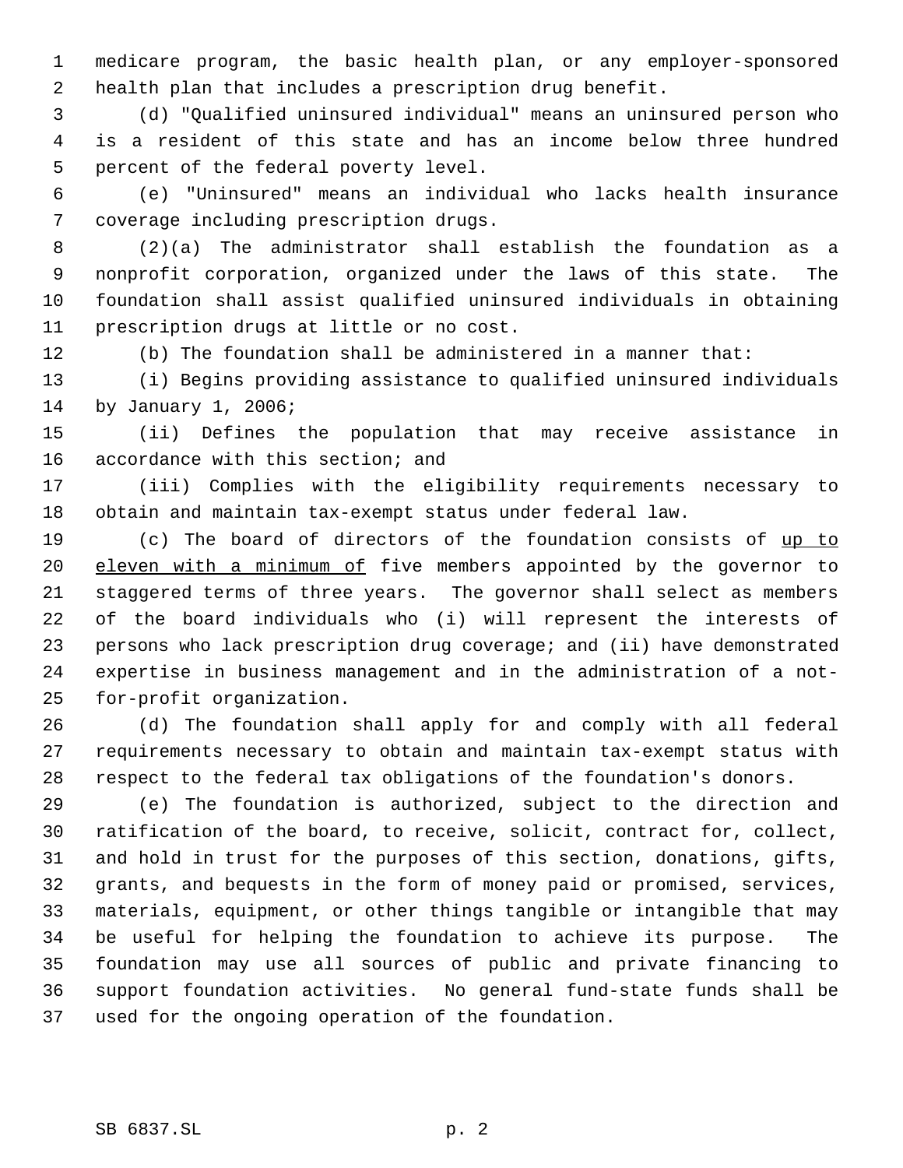medicare program, the basic health plan, or any employer-sponsored health plan that includes a prescription drug benefit.

 (d) "Qualified uninsured individual" means an uninsured person who is a resident of this state and has an income below three hundred percent of the federal poverty level.

 (e) "Uninsured" means an individual who lacks health insurance coverage including prescription drugs.

 (2)(a) The administrator shall establish the foundation as a nonprofit corporation, organized under the laws of this state. The foundation shall assist qualified uninsured individuals in obtaining prescription drugs at little or no cost.

(b) The foundation shall be administered in a manner that:

 (i) Begins providing assistance to qualified uninsured individuals by January 1, 2006;

 (ii) Defines the population that may receive assistance in accordance with this section; and

 (iii) Complies with the eligibility requirements necessary to obtain and maintain tax-exempt status under federal law.

19 (c) The board of directors of the foundation consists of up to 20 eleven with a minimum of five members appointed by the governor to staggered terms of three years. The governor shall select as members of the board individuals who (i) will represent the interests of persons who lack prescription drug coverage; and (ii) have demonstrated expertise in business management and in the administration of a not-for-profit organization.

 (d) The foundation shall apply for and comply with all federal requirements necessary to obtain and maintain tax-exempt status with respect to the federal tax obligations of the foundation's donors.

 (e) The foundation is authorized, subject to the direction and ratification of the board, to receive, solicit, contract for, collect, and hold in trust for the purposes of this section, donations, gifts, grants, and bequests in the form of money paid or promised, services, materials, equipment, or other things tangible or intangible that may be useful for helping the foundation to achieve its purpose. The foundation may use all sources of public and private financing to support foundation activities. No general fund-state funds shall be used for the ongoing operation of the foundation.